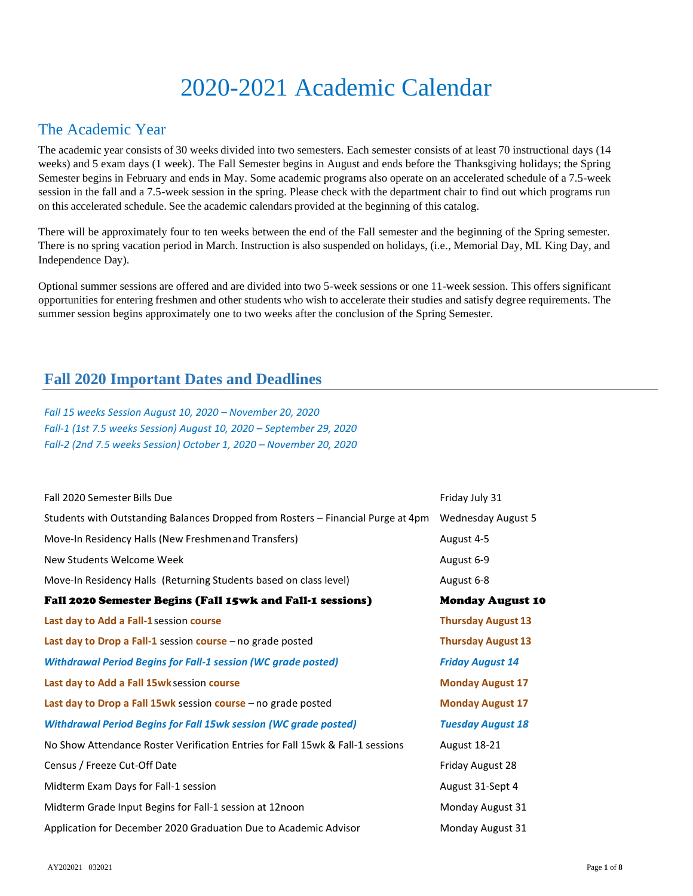# 2020-2021 Academic Calendar

# The Academic Year

The academic year consists of 30 weeks divided into two semesters. Each semester consists of at least 70 instructional days (14 weeks) and 5 exam days (1 week). The Fall Semester begins in August and ends before the Thanksgiving holidays; the Spring Semester begins in February and ends in May. Some academic programs also operate on an accelerated schedule of a 7.5-week session in the fall and a 7.5-week session in the spring. Please check with the department chair to find out which programs run on this accelerated schedule. See the academic calendars provided at the beginning of this catalog.

There will be approximately four to ten weeks between the end of the Fall semester and the beginning of the Spring semester. There is no spring vacation period in March. Instruction is also suspended on holidays, (i.e., Memorial Day, ML King Day, and Independence Day).

Optional summer sessions are offered and are divided into two 5-week sessions or one 11-week session. This offers significant opportunities for entering freshmen and other students who wish to accelerate their studies and satisfy degree requirements. The summer session begins approximately one to two weeks after the conclusion of the Spring Semester.

## **Fall 2020 Important Dates and Deadlines**

*Fall 15 weeks Session August 10, 2020 – November 20, 2020 Fall-1 (1st 7.5 weeks Session) August 10, 2020 – September 29, 2020 Fall-2 (2nd 7.5 weeks Session) October 1, 2020 – November 20, 2020*

| Fall 2020 Semester Bills Due                                                     | Friday July 31            |
|----------------------------------------------------------------------------------|---------------------------|
| Students with Outstanding Balances Dropped from Rosters - Financial Purge at 4pm | <b>Wednesday August 5</b> |
| Move-In Residency Halls (New Freshmen and Transfers)                             | August 4-5                |
| New Students Welcome Week                                                        | August 6-9                |
| Move-In Residency Halls (Returning Students based on class level)                | August 6-8                |
| Fall 2020 Semester Begins (Fall 15wk and Fall-1 sessions)                        | <b>Monday August 10</b>   |
| Last day to Add a Fall-1 session course                                          | <b>Thursday August 13</b> |
| Last day to Drop a Fall-1 session course - no grade posted                       | <b>Thursday August 13</b> |
| <b>Withdrawal Period Begins for Fall-1 session (WC grade posted)</b>             | <b>Friday August 14</b>   |
| Last day to Add a Fall 15wk session course                                       | <b>Monday August 17</b>   |
| Last day to Drop a Fall 15wk session course - no grade posted                    | <b>Monday August 17</b>   |
| <b>Withdrawal Period Begins for Fall 15wk session (WC grade posted)</b>          | <b>Tuesday August 18</b>  |
| No Show Attendance Roster Verification Entries for Fall 15wk & Fall-1 sessions   | <b>August 18-21</b>       |
| Census / Freeze Cut-Off Date                                                     | Friday August 28          |
| Midterm Exam Days for Fall-1 session                                             | August 31-Sept 4          |
| Midterm Grade Input Begins for Fall-1 session at 12noon                          | Monday August 31          |
| Application for December 2020 Graduation Due to Academic Advisor                 | Monday August 31          |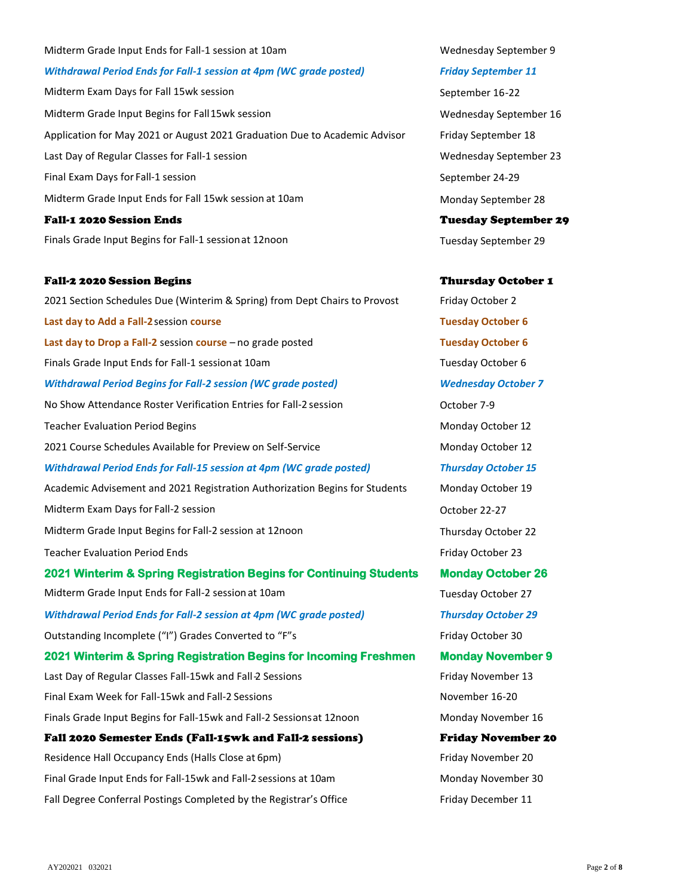# Midterm Exam Days for Fall 15wk session September 16-22 Midterm Grade Input Begins for Fall15wk session Wednesday September 16 Application for May 2021 or August 2021 Graduation Due to Academic Advisor Friday September 18 Last Day of Regular Classes for Fall-1 session New York Wednesday September 23 Final Exam Days for Fall-1 session September 24-29 Midterm Grade Input Ends for Fall 15wk session at 10am Monday September 28 Fall-1 2020 Session Ends Tuesday September 29 Finals Grade Input Begins for Fall-1 session at 12noon Tuesday September 29 Fall-2 2020 Session Begins Thursday October 1 2021 Section Schedules Due (Winterim & Spring) from Dept Chairs to Provost Friday October 2 **Last day to Add a Fall-2**session **course Tuesday October 6 Last day to Drop a Fall-2** session **course** – no grade posted **Tuesday October 6** Finals Grade Input Ends for Fall-1 sessionat 10am Tuesday October 6 *Withdrawal Period Begins for Fall-2 session (WC grade posted) Wednesday October 7* No Show Attendance Roster Verification Entries for Fall-2 session October 7-9 Teacher Evaluation Period Begins Monday October 12 2021 Course Schedules Available for Preview on Self-Service Monday October 12 *Withdrawal Period Ends for Fall-15 session at 4pm (WC grade posted) Thursday October 15* Academic Advisement and 2021 Registration Authorization Begins for Students Monday October 19 Midterm Exam Days for Fall-2 session Contract Contract Contract Contract Contract Contract October 22-27 Midterm Grade Input Begins for Fall-2 session at 12noon Thursday October 22 Teacher Evaluation Period Ends Friday October 23 **2021 Winterim & Spring Registration Begins for Continuing Students Monday October 26**  Midterm Grade Input Ends for Fall-2 session at 10am Tuesday October 27 *Withdrawal Period Ends for Fall-2 session at 4pm (WC grade posted) Thursday October 29* Outstanding Incomplete ("I") Grades Converted to "F"s Friday October 30 **2021 Winterim & Spring Registration Begins for Incoming Freshmen Monday November 9**

Last Day of Regular Classes Fall-15wk and Fall-2 Sessions Friday November 13 Final Exam Week for Fall-15wk and Fall-2 Sessions November 16-20 Finals Grade Input Begins for Fall-15wk and Fall-2 Sessions at 12noon Monday November 16 Fall 2020 Semester Ends (Fall-15wk and Fall-2 sessions) Friday November 20

Residence Hall Occupancy Ends (Halls Close at 6pm) Friday November 20 Final Grade Input Ends for Fall-15wk and Fall-2 sessions at 10am Monday November 30 Fall Degree Conferral Postings Completed by the Registrar's Office Friday December 11

Midterm Grade Input Ends for Fall-1 session at 10am Number 2014 10am Wednesday September 9

*Withdrawal Period Ends for Fall-1 session at 4pm (WC grade posted) Friday September 11*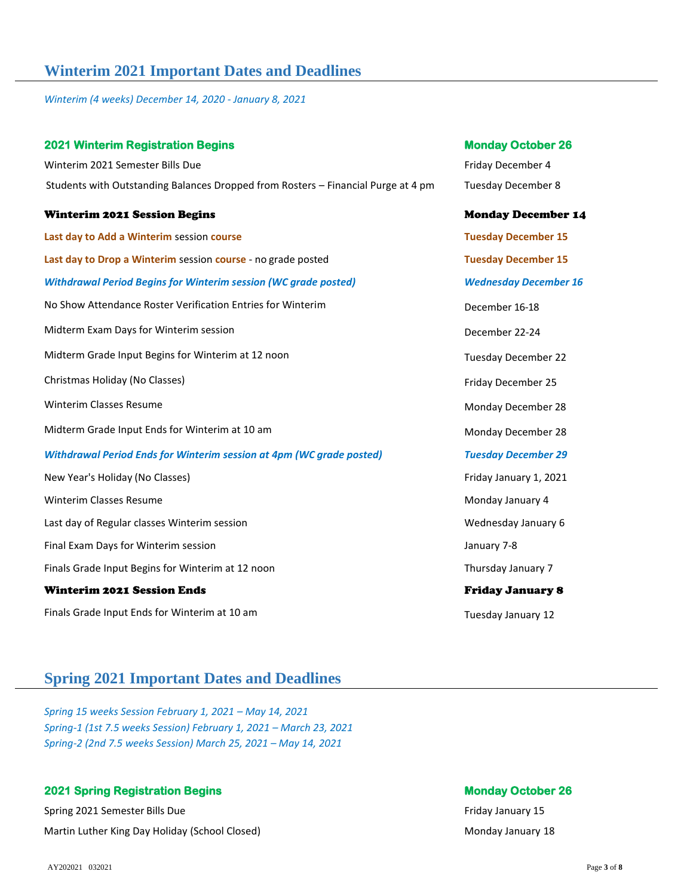# **Winterim 2021 Important Dates and Deadlines**

*Winterim (4 weeks) December 14, 2020 - January 8, 2021*

| <b>2021 Winterim Registration Begins</b>                                          | <b>Monday October 26</b>     |
|-----------------------------------------------------------------------------------|------------------------------|
| Winterim 2021 Semester Bills Due                                                  | Friday December 4            |
| Students with Outstanding Balances Dropped from Rosters - Financial Purge at 4 pm | <b>Tuesday December 8</b>    |
| <b>Winterim 2021 Session Begins</b>                                               | <b>Monday December 14</b>    |
| Last day to Add a Winterim session course                                         | <b>Tuesday December 15</b>   |
| Last day to Drop a Winterim session course - no grade posted                      | <b>Tuesday December 15</b>   |
| <b>Withdrawal Period Begins for Winterim session (WC grade posted)</b>            | <b>Wednesday December 16</b> |
| No Show Attendance Roster Verification Entries for Winterim                       | December 16-18               |
| Midterm Exam Days for Winterim session                                            | December 22-24               |
| Midterm Grade Input Begins for Winterim at 12 noon                                | <b>Tuesday December 22</b>   |
| Christmas Holiday (No Classes)                                                    | Friday December 25           |
| <b>Winterim Classes Resume</b>                                                    | Monday December 28           |
| Midterm Grade Input Ends for Winterim at 10 am                                    | Monday December 28           |
| <b>Withdrawal Period Ends for Winterim session at 4pm (WC grade posted)</b>       | <b>Tuesday December 29</b>   |
| New Year's Holiday (No Classes)                                                   | Friday January 1, 2021       |
| <b>Winterim Classes Resume</b>                                                    | Monday January 4             |
| Last day of Regular classes Winterim session                                      | Wednesday January 6          |
| Final Exam Days for Winterim session                                              | January 7-8                  |
| Finals Grade Input Begins for Winterim at 12 noon                                 | Thursday January 7           |
| <b>Winterim 2021 Session Ends</b>                                                 | <b>Friday January 8</b>      |
| Finals Grade Input Ends for Winterim at 10 am                                     | Tuesday January 12           |

# **Spring 2021 Important Dates and Deadlines**

*Spring 15 weeks Session February 1, 2021 – May 14, 2021 Spring-1 (1st 7.5 weeks Session) February 1, 2021 – March 23, 2021 Spring-2 (2nd 7.5 weeks Session) March 25, 2021 – May 14, 2021*

### **2021 Spring Registration Begins Monday October 26 April 2021 Spring Registration Begins Monday October 26 April 2021**

Spring 2021 Semester Bills Due **Friday January 15 Friday January 15 Friday January 15** Martin Luther King Day Holiday (School Closed) Martin Luther King Day Holiday January 18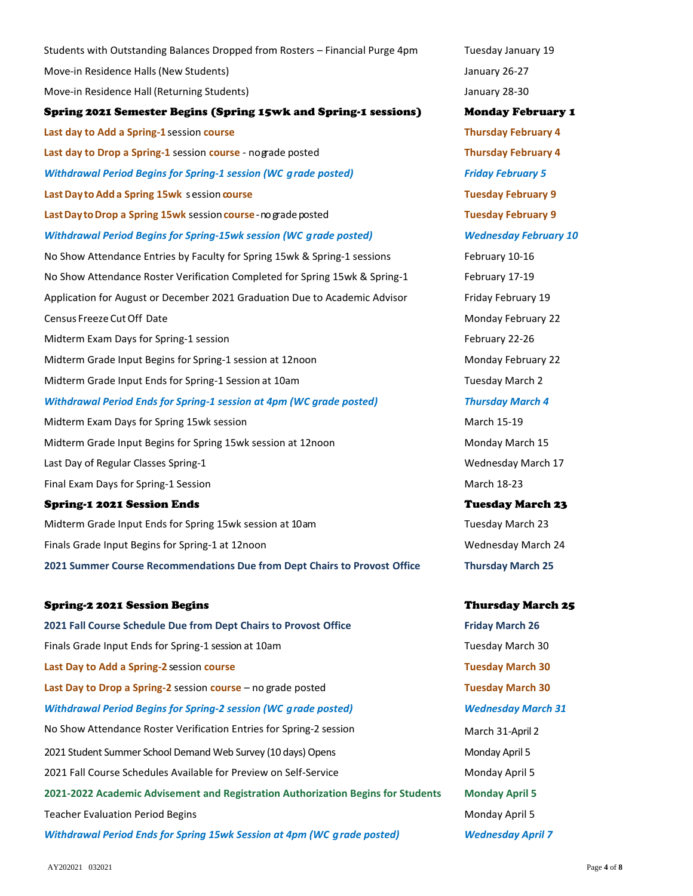Students with Outstanding Balances Dropped from Rosters – Financial Purge 4pm Tuesday January 19 Move-in Residence Halls (New Students) and the students of the students of the students of the students of the students of the students of the students of the students of the students of the students of the students of the Move-in Residence Hall (Returning Students) January 28-30 Spring 2021 Semester Begins (Spring 15wk and Spring-1 sessions) Monday February 1 **Last day to Add a Spring-1** session **course Thursday February 4 Last day to Drop a Spring-1** session **course** - nograde posted **Thursday February 4** *Withdrawal Period Begins for Spring-1 session (WC grade posted) Friday February 5* **Last Day to Add a Spring 15wk** s ession **course Tuesday February 9 Last Day to Drop a Spring 15wk** session **course**-no grade posted **Transform Tuesday February 9** *Withdrawal Period Begins for Spring-15wk session (WC grade posted) Wednesday February 10* No Show Attendance Entries by Faculty for Spring 15wk & Spring-1 sessions February 10-16 No Show Attendance Roster Verification Completed for Spring 15wk & Spring-1 February 17-19 Application for August or December 2021 Graduation Due to Academic Advisor Friday February 19 Census Freeze Cut Off Date November 22 and 22 and 22 and 22 and 22 and 22 and 22 and 22 and 22 and 22 and 22 and 22 and 22 and 22 and 22 and 22 and 22 and 22 and 22 and 22 and 22 and 22 and 22 and 22 and 22 and 22 and 22 a Midterm Exam Days for Spring-1 session February 22-26 Midterm Grade Input Begins for Spring-1 session at 12noon Monday February 22 Midterm Grade Input Ends for Spring-1 Session at 10am Tuesday March 2 *Withdrawal Period Ends for Spring-1 session at 4pm (WC grade posted) Thursday March 4* Midterm Exam Days for Spring 15wk session March 15-19 March 15-19 Midterm Grade Input Begins for Spring 15wk session at 12noon Monday March 15 Last Day of Regular Classes Spring-1 Wednesday March 17 Final Exam Days for Spring-1 Session March 18-23 Spring-1 2021 Session Ends Tuesday March 23 Midterm Grade Input Ends for Spring 15wk session at 10am Tuesday March 23 Finals Grade Input Begins for Spring-1 at 12noon Network Controller and Mednesday March 24 **2021 Summer Course Recommendations Due from Dept Chairs to Provost Office Thursday March 25** Spring-2 2021 Session Begins Thursday March 25 **2021 Fall Course Schedule Due from Dept Chairs to Provost Office Friday March 26** Finals Grade Input Ends for Spring-1 session at 10am Tuesday March 30 **Last Day to Add a Spring-2** session **course Tuesday March 30 Last Day to Drop a Spring-2** session **course** – no grade posted **Tuesday March 30 Tuesday March 30** *Withdrawal Period Begins for Spring-2 session (WC grade posted) Wednesday March 31* No Show Attendance Roster Verification Entries for Spring-2 session March 31-April 2 2021 Student Summer School Demand Web Survey (10 days) Opens Monday April 5

2021 Fall Course Schedules Available for Preview on Self-Service Monday April 5 **2021-2022 Academic Advisement and Registration Authorization Begins for Students Monday April 5** Teacher Evaluation Period Begins Monday April 5 and the University of April 5 and the University of April 5 and the University of April 5 and the University of April 5 and the University of April 5 and the University of Ap *Withdrawal Period Ends for Spring 15wk Session at 4pm (WC grade posted) Wednesday April 7*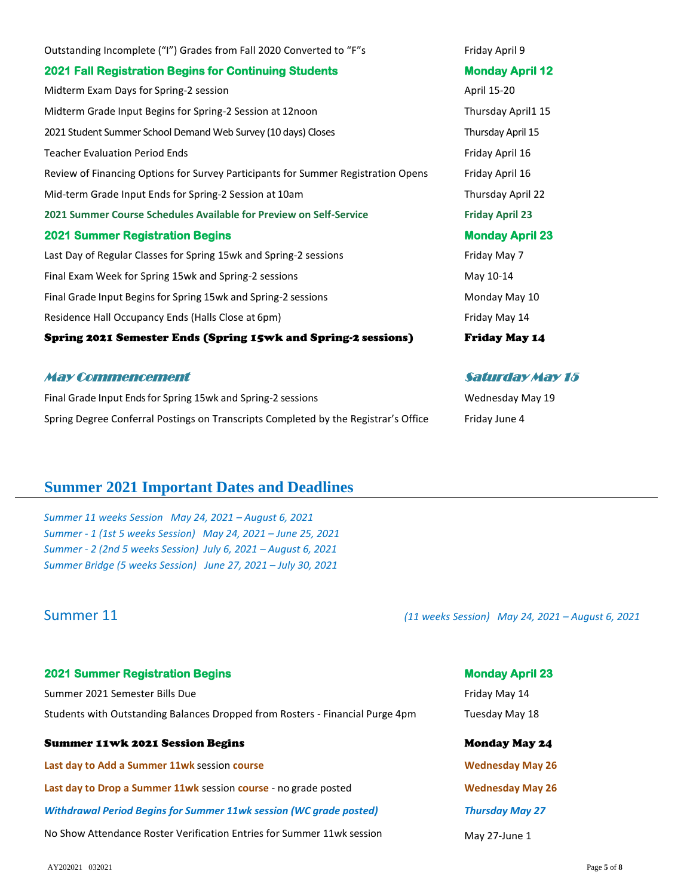Outstanding Incomplete ("I") Grades from Fall 2020 Converted to "F"s Friday April 9 **2021 Fall Registration Begins for Continuing Students Monday April 12**  Midterm Exam Days for Spring-2 session April 15-20 Midterm Grade Input Begins for Spring-2 Session at 12noon Thursday April1 15 2021 Student Summer School Demand Web Survey (10 days) Closes Thursday April 15 Teacher Evaluation Period Ends Friday April 16 and Teacher Evaluation Period Ends Review of Financing Options for Survey Participants for Summer Registration Opens Friday April 16 Mid-term Grade Input Ends for Spring-2 Session at 10am Thursday April 22 **2021 Summer Course Schedules Available for Preview on Self-Service Friday April 23 2021 Summer Registration Begins Monday April 23**  Last Day of Regular Classes for Spring 15wk and Spring-2 sessions Friday Herriday May 7 Final Exam Week for Spring 15wk and Spring-2 sessions May 10-14 Final Grade Input Begins for Spring 15wk and Spring-2 sessions Monday Monday May 10 Residence Hall Occupancy Ends (Halls Close at 6pm) Friday May 14 Spring 2021 Semester Ends (Spring 15wk and Spring-2 sessions) Friday May 14

### May Commencement Saturday May 15

Final Grade Input Ends for Spring 15wk and Spring-2 sessions The Muslim Controller and Spring 19 Wednesday May 19 Spring Degree Conferral Postings on Transcripts Completed by the Registrar's Office Friday June 4

# **Summer 2021 Important Dates and Deadlines**

*Summer 11 weeks Session May 24, 2021 – August 6, 2021 Summer - 1 (1st 5 weeks Session) May 24, 2021 – June 25, 2021 Summer - 2 (2nd 5 weeks Session) July 6, 2021 – August 6, 2021 Summer Bridge (5 weeks Session) June 27, 2021 – July 30, 2021*

Summer 11 *(11 weeks Session) May 24, 2021 – August 6, 2021*

| <b>2021 Summer Registration Begins</b>                                        | <b>Monday April 23</b>  |
|-------------------------------------------------------------------------------|-------------------------|
| Summer 2021 Semester Bills Due                                                | Friday May 14           |
| Students with Outstanding Balances Dropped from Rosters - Financial Purge 4pm | Tuesday May 18          |
| <b>Summer 11wk 2021 Session Begins</b>                                        | <b>Monday May 24</b>    |
| Last day to Add a Summer 11wk session course                                  | <b>Wednesday May 26</b> |
| Last day to Drop a Summer 11wk session course - no grade posted               | <b>Wednesday May 26</b> |
| <b>Withdrawal Period Begins for Summer 11wk session (WC grade posted)</b>     | <b>Thursday May 27</b>  |
| No Show Attendance Roster Verification Entries for Summer 11wk session        | May 27-June 1           |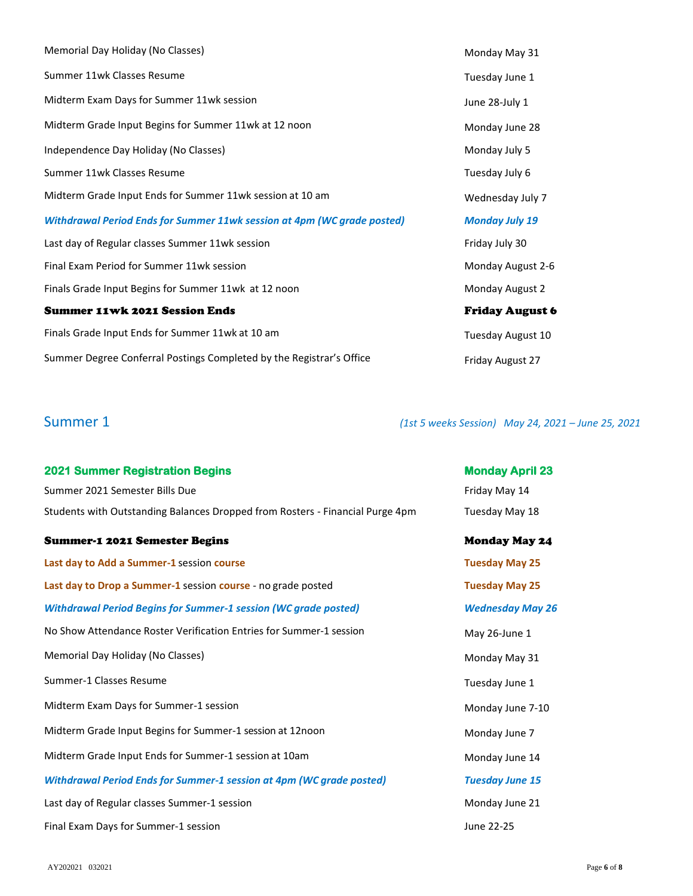| Memorial Day Holiday (No Classes)                                       | Monday May 31          |
|-------------------------------------------------------------------------|------------------------|
| Summer 11wk Classes Resume                                              | Tuesday June 1         |
| Midterm Exam Days for Summer 11wk session                               | June 28-July 1         |
| Midterm Grade Input Begins for Summer 11wk at 12 noon                   | Monday June 28         |
| Independence Day Holiday (No Classes)                                   | Monday July 5          |
| Summer 11wk Classes Resume                                              | Tuesday July 6         |
| Midterm Grade Input Ends for Summer 11wk session at 10 am               | Wednesday July 7       |
| Withdrawal Period Ends for Summer 11wk session at 4pm (WC grade posted) | <b>Monday July 19</b>  |
| Last day of Regular classes Summer 11wk session                         | Friday July 30         |
| Final Exam Period for Summer 11wk session                               | Monday August 2-6      |
| Finals Grade Input Begins for Summer 11wk at 12 noon                    | Monday August 2        |
| <b>Summer 11wk 2021 Session Ends</b>                                    | <b>Friday August 6</b> |
| Finals Grade Input Ends for Summer 11wk at 10 am                        | Tuesday August 10      |
| Summer Degree Conferral Postings Completed by the Registrar's Office    | Friday August 27       |

Summer 1 *(1st 5 weeks Session) May 24, 2021 – June 25, 2021*

| <b>2021 Summer Registration Begins</b>                                        | <b>Monday April 23</b>  |
|-------------------------------------------------------------------------------|-------------------------|
| Summer 2021 Semester Bills Due                                                | Friday May 14           |
| Students with Outstanding Balances Dropped from Rosters - Financial Purge 4pm | Tuesday May 18          |
| <b>Summer-1 2021 Semester Begins</b>                                          | <b>Monday May 24</b>    |
| Last day to Add a Summer-1 session course                                     | <b>Tuesday May 25</b>   |
| Last day to Drop a Summer-1 session course - no grade posted                  | <b>Tuesday May 25</b>   |
| <b>Withdrawal Period Begins for Summer-1 session (WC grade posted)</b>        | <b>Wednesday May 26</b> |
| No Show Attendance Roster Verification Entries for Summer-1 session           | May 26-June 1           |
| Memorial Day Holiday (No Classes)                                             | Monday May 31           |
| Summer-1 Classes Resume                                                       | Tuesday June 1          |
| Midterm Exam Days for Summer-1 session                                        | Monday June 7-10        |
| Midterm Grade Input Begins for Summer-1 session at 12noon                     | Monday June 7           |
| Midterm Grade Input Ends for Summer-1 session at 10am                         | Monday June 14          |
| <b>Withdrawal Period Ends for Summer-1 session at 4pm (WC grade posted)</b>   | <b>Tuesday June 15</b>  |
| Last day of Regular classes Summer-1 session                                  | Monday June 21          |
| Final Exam Days for Summer-1 session                                          | June 22-25              |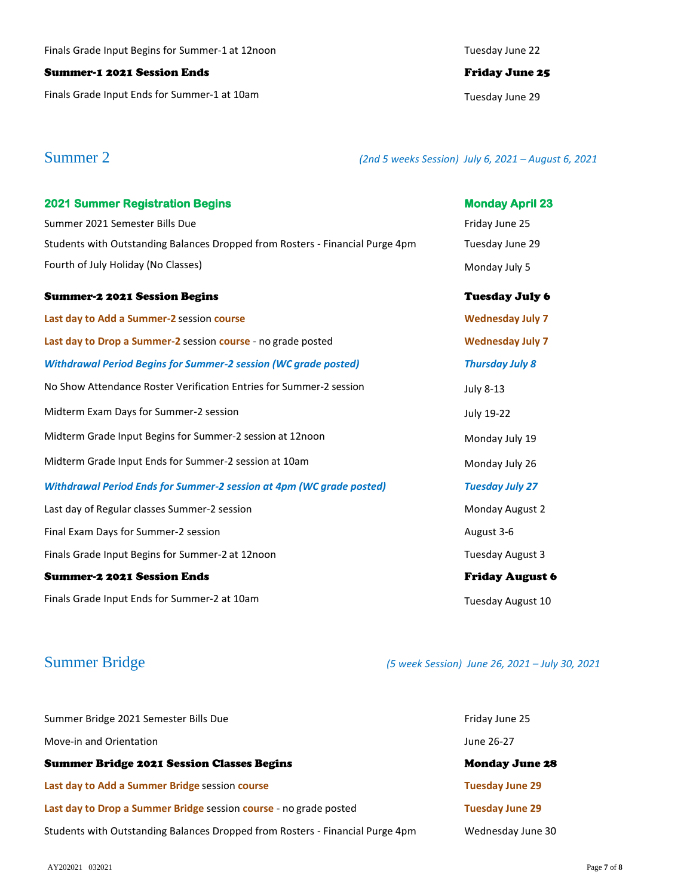### Summer-1 2021 Session Ends Friday June 25

Finals Grade Input Ends for Summer-1 at 10am decrees the control of the Tuesday June 29

Summer 2 *(2nd 5 weeks Session) July 6, 2021 – August 6, 2021*

| <b>2021 Summer Registration Begins</b>                                        | <b>Monday April 23</b>  |
|-------------------------------------------------------------------------------|-------------------------|
| Summer 2021 Semester Bills Due                                                | Friday June 25          |
| Students with Outstanding Balances Dropped from Rosters - Financial Purge 4pm | Tuesday June 29         |
| Fourth of July Holiday (No Classes)                                           | Monday July 5           |
| <b>Summer-2 2021 Session Begins</b>                                           | <b>Tuesday July 6</b>   |
| Last day to Add a Summer-2 session course                                     | <b>Wednesday July 7</b> |
| Last day to Drop a Summer-2 session course - no grade posted                  | <b>Wednesday July 7</b> |
| <b>Withdrawal Period Begins for Summer-2 session (WC grade posted)</b>        | <b>Thursday July 8</b>  |
| No Show Attendance Roster Verification Entries for Summer-2 session           | <b>July 8-13</b>        |
| Midterm Exam Days for Summer-2 session                                        | July 19-22              |
| Midterm Grade Input Begins for Summer-2 session at 12noon                     | Monday July 19          |
| Midterm Grade Input Ends for Summer-2 session at 10am                         | Monday July 26          |
| <b>Withdrawal Period Ends for Summer-2 session at 4pm (WC grade posted)</b>   | <b>Tuesday July 27</b>  |
| Last day of Regular classes Summer-2 session                                  | Monday August 2         |
| Final Exam Days for Summer-2 session                                          | August 3-6              |
| Finals Grade Input Begins for Summer-2 at 12noon                              | Tuesday August 3        |
| Summer-2 2021 Session Ends                                                    | <b>Friday August 6</b>  |
| Finals Grade Input Ends for Summer-2 at 10am                                  | Tuesday August 10       |

Summer Bridge *(5 week Session) June 26, 2021 – July 30, 2021*

| Summer Bridge 2021 Semester Bills Due                                         | Friday June 25         |
|-------------------------------------------------------------------------------|------------------------|
| Move-in and Orientation                                                       | June 26-27             |
| <b>Summer Bridge 2021 Session Classes Begins</b>                              | <b>Monday June 28</b>  |
| Last day to Add a Summer Bridge session course                                | <b>Tuesday June 29</b> |
| Last day to Drop a Summer Bridge session course - no grade posted             | <b>Tuesday June 29</b> |
| Students with Outstanding Balances Dropped from Rosters - Financial Purge 4pm | Wednesday June 30      |